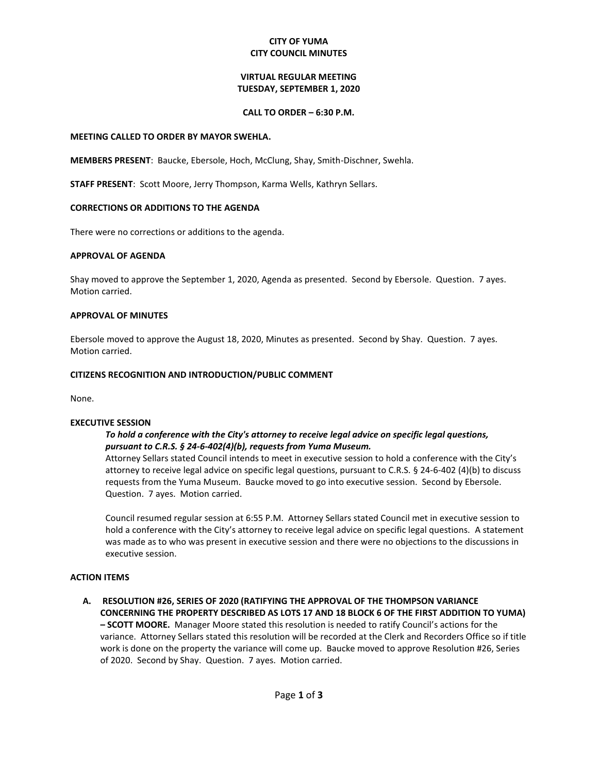# **CITY OF YUMA CITY COUNCIL MINUTES**

# **VIRTUAL REGULAR MEETING TUESDAY, SEPTEMBER 1, 2020**

## **CALL TO ORDER – 6:30 P.M.**

### **MEETING CALLED TO ORDER BY MAYOR SWEHLA.**

**MEMBERS PRESENT**: Baucke, Ebersole, Hoch, McClung, Shay, Smith-Dischner, Swehla.

**STAFF PRESENT**: Scott Moore, Jerry Thompson, Karma Wells, Kathryn Sellars.

## **CORRECTIONS OR ADDITIONS TO THE AGENDA**

There were no corrections or additions to the agenda.

## **APPROVAL OF AGENDA**

Shay moved to approve the September 1, 2020, Agenda as presented. Second by Ebersole. Question. 7 ayes. Motion carried.

## **APPROVAL OF MINUTES**

Ebersole moved to approve the August 18, 2020, Minutes as presented. Second by Shay. Question. 7 ayes. Motion carried.

## **CITIZENS RECOGNITION AND INTRODUCTION/PUBLIC COMMENT**

None.

#### **EXECUTIVE SESSION**

# *To hold a conference with the City's attorney to receive legal advice on specific legal questions, pursuant to C.R.S. § 24-6-402(4)(b), requests from Yuma Museum.*

Attorney Sellars stated Council intends to meet in executive session to hold a conference with the City's attorney to receive legal advice on specific legal questions, pursuant to C.R.S. § 24-6-402 (4)(b) to discuss requests from the Yuma Museum. Baucke moved to go into executive session. Second by Ebersole. Question. 7 ayes. Motion carried.

Council resumed regular session at 6:55 P.M. Attorney Sellars stated Council met in executive session to hold a conference with the City's attorney to receive legal advice on specific legal questions. A statement was made as to who was present in executive session and there were no objections to the discussions in executive session.

#### **ACTION ITEMS**

**A. RESOLUTION #26, SERIES OF 2020 (RATIFYING THE APPROVAL OF THE THOMPSON VARIANCE CONCERNING THE PROPERTY DESCRIBED AS LOTS 17 AND 18 BLOCK 6 OF THE FIRST ADDITION TO YUMA) – SCOTT MOORE.** Manager Moore stated this resolution is needed to ratify Council's actions for the variance. Attorney Sellars stated this resolution will be recorded at the Clerk and Recorders Office so if title work is done on the property the variance will come up. Baucke moved to approve Resolution #26, Series of 2020. Second by Shay. Question. 7 ayes. Motion carried.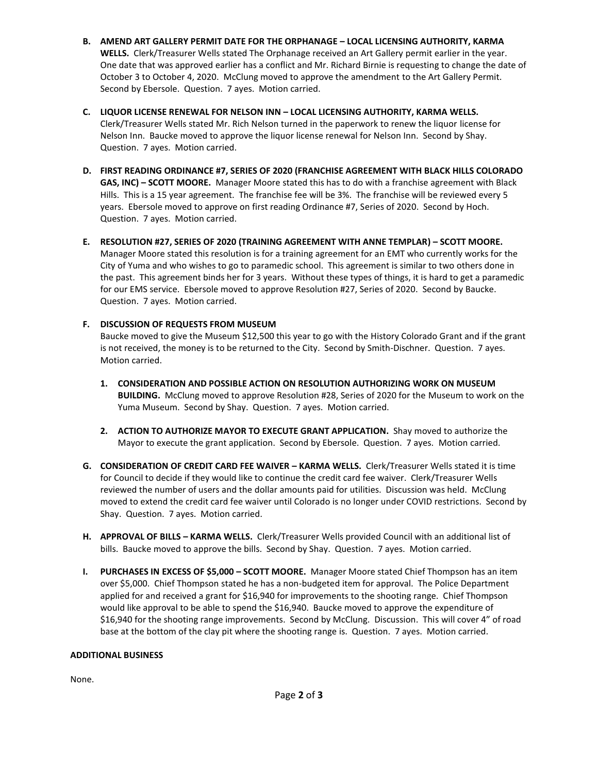- **B. AMEND ART GALLERY PERMIT DATE FOR THE ORPHANAGE – LOCAL LICENSING AUTHORITY, KARMA WELLS.** Clerk/Treasurer Wells stated The Orphanage received an Art Gallery permit earlier in the year. One date that was approved earlier has a conflict and Mr. Richard Birnie is requesting to change the date of October 3 to October 4, 2020. McClung moved to approve the amendment to the Art Gallery Permit. Second by Ebersole. Question. 7 ayes. Motion carried.
- **C. LIQUOR LICENSE RENEWAL FOR NELSON INN – LOCAL LICENSING AUTHORITY, KARMA WELLS.**  Clerk/Treasurer Wells stated Mr. Rich Nelson turned in the paperwork to renew the liquor license for Nelson Inn. Baucke moved to approve the liquor license renewal for Nelson Inn. Second by Shay. Question. 7 ayes. Motion carried.
- **D. FIRST READING ORDINANCE #7, SERIES OF 2020 (FRANCHISE AGREEMENT WITH BLACK HILLS COLORADO GAS, INC) – SCOTT MOORE.** Manager Moore stated this has to do with a franchise agreement with Black Hills. This is a 15 year agreement. The franchise fee will be 3%. The franchise will be reviewed every 5 years. Ebersole moved to approve on first reading Ordinance #7, Series of 2020. Second by Hoch. Question. 7 ayes. Motion carried.
- **E. RESOLUTION #27, SERIES OF 2020 (TRAINING AGREEMENT WITH ANNE TEMPLAR) – SCOTT MOORE.**  Manager Moore stated this resolution is for a training agreement for an EMT who currently works for the City of Yuma and who wishes to go to paramedic school. This agreement is similar to two others done in the past. This agreement binds her for 3 years. Without these types of things, it is hard to get a paramedic for our EMS service. Ebersole moved to approve Resolution #27, Series of 2020. Second by Baucke. Question. 7 ayes. Motion carried.

# **F. DISCUSSION OF REQUESTS FROM MUSEUM**

Baucke moved to give the Museum \$12,500 this year to go with the History Colorado Grant and if the grant is not received, the money is to be returned to the City. Second by Smith-Dischner. Question. 7 ayes. Motion carried.

- **1. CONSIDERATION AND POSSIBLE ACTION ON RESOLUTION AUTHORIZING WORK ON MUSEUM BUILDING.** McClung moved to approve Resolution #28, Series of 2020 for the Museum to work on the Yuma Museum. Second by Shay. Question. 7 ayes. Motion carried.
- **2. ACTION TO AUTHORIZE MAYOR TO EXECUTE GRANT APPLICATION.** Shay moved to authorize the Mayor to execute the grant application. Second by Ebersole. Question. 7 ayes. Motion carried.
- **G. CONSIDERATION OF CREDIT CARD FEE WAIVER – KARMA WELLS.** Clerk/Treasurer Wells stated it is time for Council to decide if they would like to continue the credit card fee waiver. Clerk/Treasurer Wells reviewed the number of users and the dollar amounts paid for utilities. Discussion was held. McClung moved to extend the credit card fee waiver until Colorado is no longer under COVID restrictions. Second by Shay. Question. 7 ayes. Motion carried.
- **H. APPROVAL OF BILLS – KARMA WELLS.** Clerk/Treasurer Wells provided Council with an additional list of bills. Baucke moved to approve the bills. Second by Shay. Question. 7 ayes. Motion carried.
- **I. PURCHASES IN EXCESS OF \$5,000 – SCOTT MOORE.** Manager Moore stated Chief Thompson has an item over \$5,000. Chief Thompson stated he has a non-budgeted item for approval. The Police Department applied for and received a grant for \$16,940 for improvements to the shooting range. Chief Thompson would like approval to be able to spend the \$16,940. Baucke moved to approve the expenditure of \$16,940 for the shooting range improvements. Second by McClung. Discussion. This will cover 4" of road base at the bottom of the clay pit where the shooting range is. Question. 7 ayes. Motion carried.

# **ADDITIONAL BUSINESS**

None.